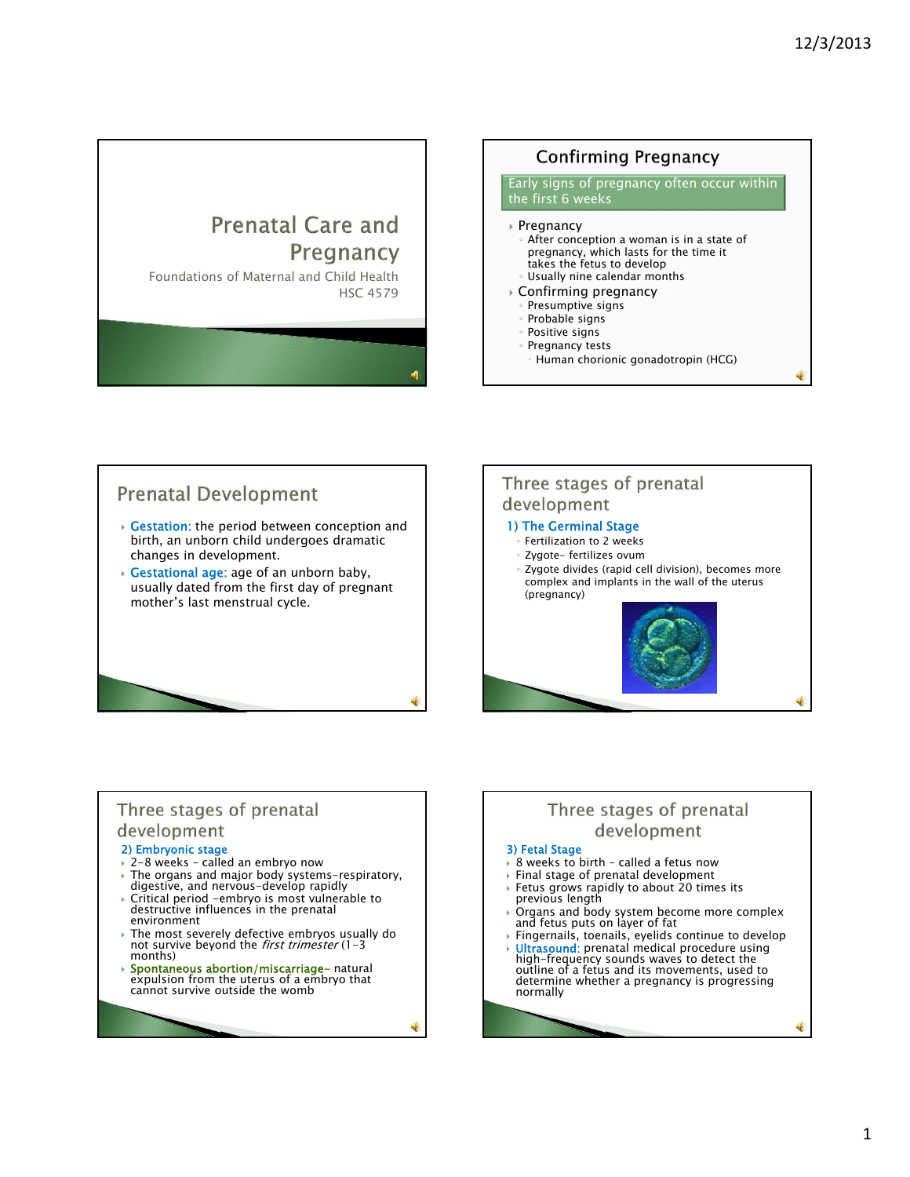# **Prenatal Care and** Pregnancy

Foundations of Maternal and Child Health HSC 4579



# **Prenatal Development** Gestation: the period between conception and birth, an unborn child undergoes dramatic changes in development. Gestational age: age of an unborn baby, usually dated from the first day of pregnant mother's last menstrual cycle.

### Three stages of prenatal development 1) The Germinal Stage Fertilization to 2 weeks Zygote- fertilizes ovum

Zygote divides (rapid cell division), becomes more complex and implants in the wall of the uterus (pregnancy)



### Three stages of prenatal development

#### 2) Embryonic stage

- 2-8 weeks called an embryo now
- $\rightarrow$  The organs and major body systems-respiratory, digestive, and nervous-develop rapidly
- Critical period -embryo is most vulnerable to destructive influences in the prenatal environment
- The most severely defective embryos usually do not survive beyond the *first trimester*  $(1-3)$ months)
- Spontaneous abortion/miscarriage- natural expulsion from the uterus of a embryo that cannot survive outside the womb

### Three stages of prenatal development

### 3) Fetal Stage

- $\rightarrow$  8 weeks to birth called a fetus now
- Final stage of prenatal development
- Fetus grows rapidly to about 20 times its previous length
- Organs and body system become more complex and fetus puts on layer of fat
- Fingernails, toenails, eyelids continue to develop<br>Ultrasound: prenatal medical procedure using **Ultrasound**: prenatal medical procedure using<br>high-frequency sounds waves to detect the<br>outline of a fetus and its movements, used to<br>determine whether a pregnancy is progressing normally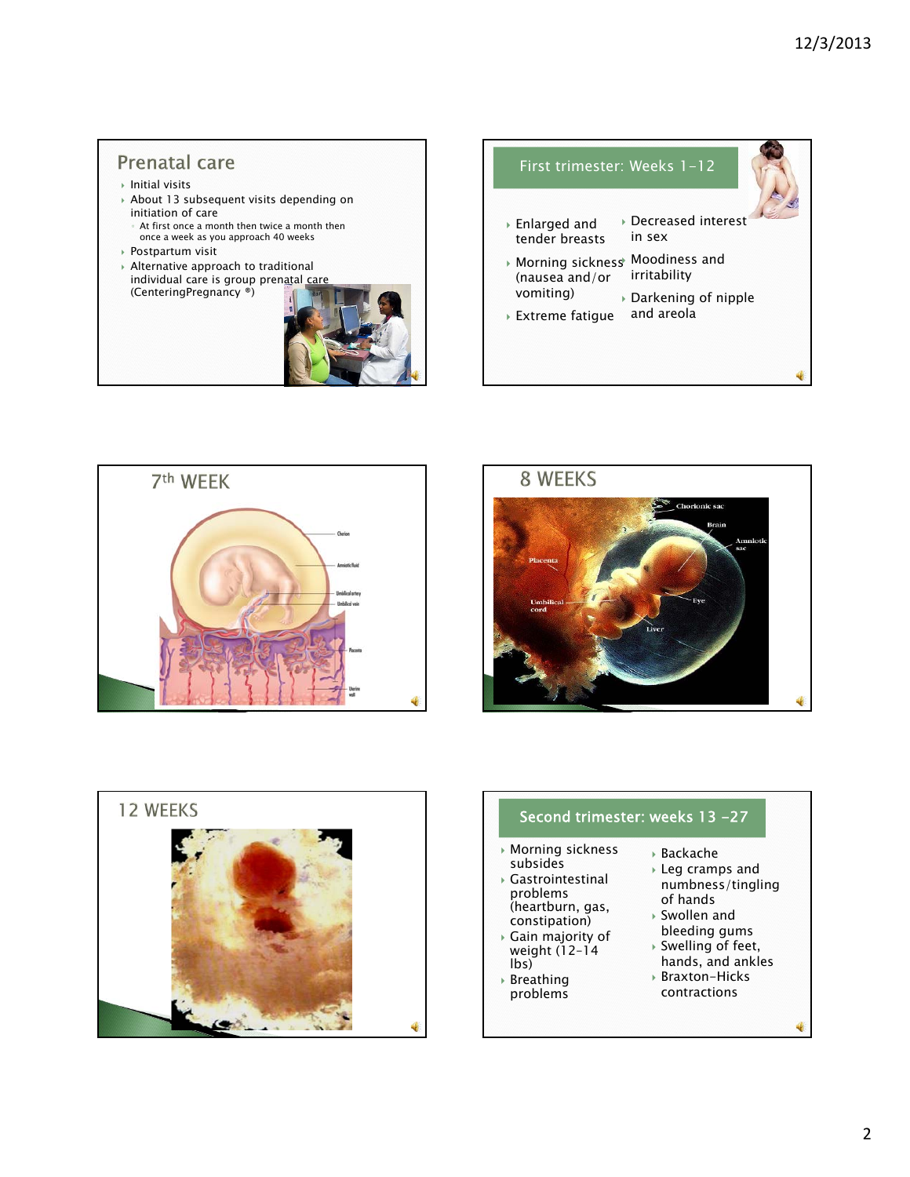### Prenatal care

- Initial visits
- About 13 subsequent visits depending on initiation of care
- At first once a month then twice a month then once a week as you approach 40 weeks
- Postpartum visit
- Alternative approach to traditional individual care is group prenatal care (CenteringPregnancy ®)











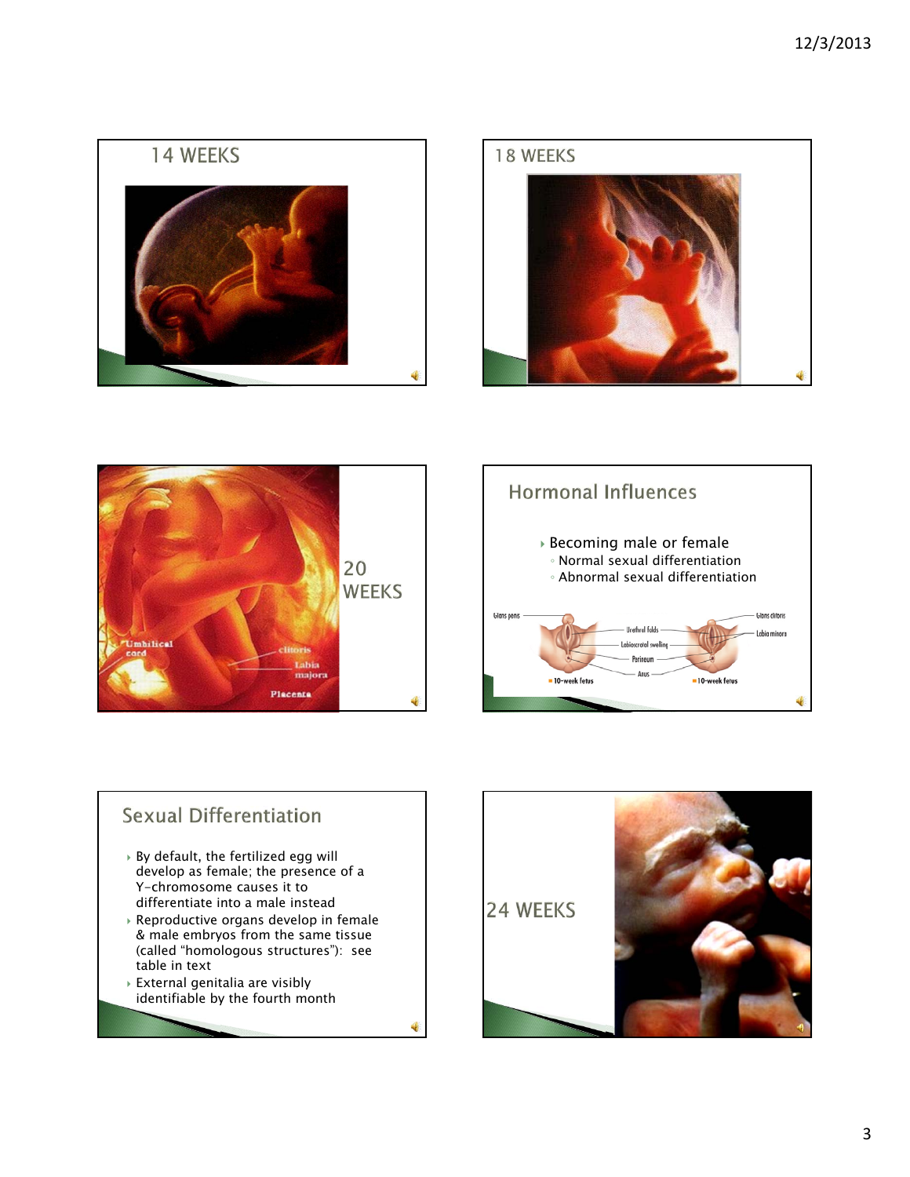







### **Sexual Differentiation**  By default, the fertilized egg will develop as female; the presence of a Y-chromosome causes it to differentiate into a male instead Reproductive organs develop in female & male embryos from the same tissue (called "homologous structures"): see table in text External genitalia are visibly identifiable by the fourth month

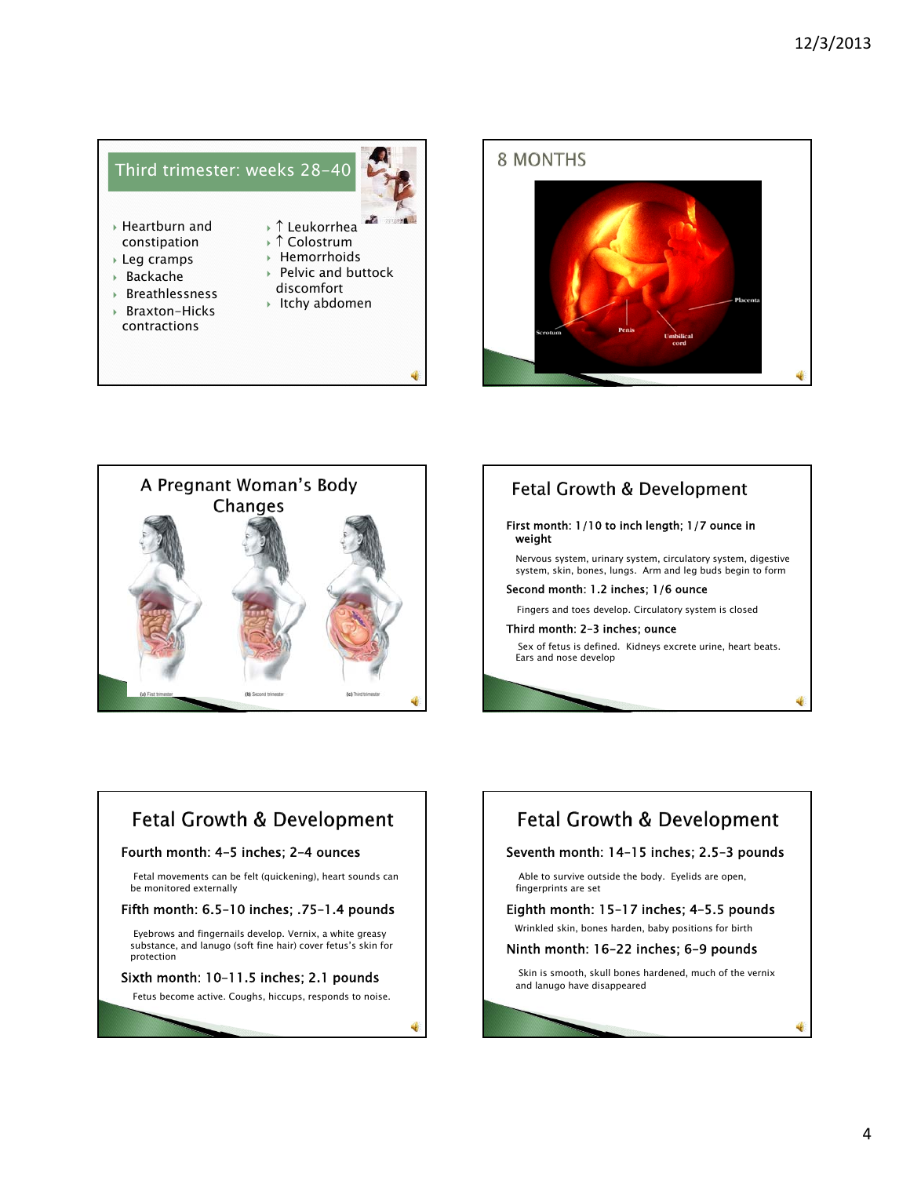





### **Fetal Growth & Development**

#### First month: 1/10 to inch length; 1/7 ounce in weight

Nervous system, urinary system, circulatory system, digestive system, skin, bones, lungs. Arm and leg buds begin to form

Second month: 1.2 inches; 1/6 ounce

Fingers and toes develop. Circulatory system is closed

#### Third month: 2–3 inches; ounce

Sex of fetus is defined. Kidneys excrete urine, heart beats. Ears and nose develop

## **Fetal Growth & Development**

#### Fourth month: 4–5 inches; 2–4 ounces

Fetal movements can be felt (quickening), heart sounds can be monitored externally

#### Fifth month: 6.5–10 inches; .75–1.4 pounds

Eyebrows and fingernails develop. Vernix, a white greasy substance, and lanugo (soft fine hair) cover fetus's skin for protection

#### Sixth month: 10–11.5 inches; 2.1 pounds

Fetus become active. Coughs, hiccups, responds to noise.